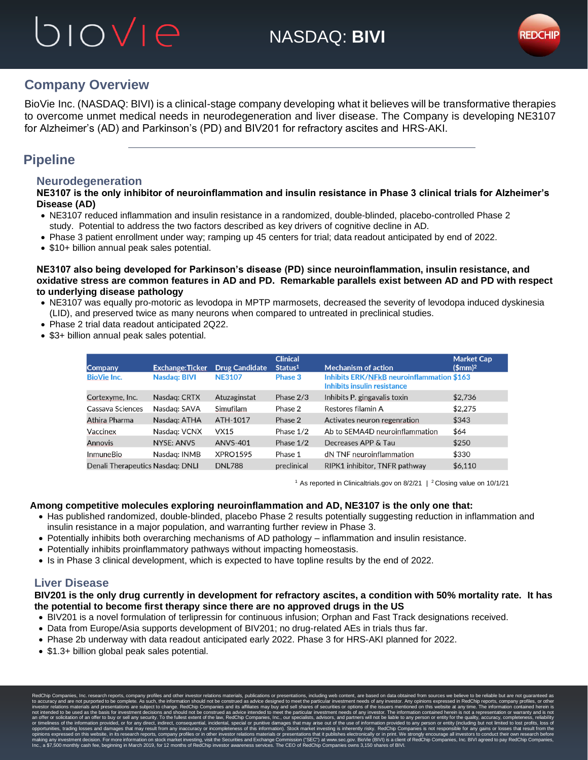## biovie



## **Company Overview**

BioVie Inc. (NASDAQ: BIVI) is a clinical-stage company developing what it believes will be transformative therapies to overcome unmet medical needs in neurodegeneration and liver disease. The Company is developing NE3107 for Alzheimer's (AD) and Parkinson's (PD) and BIV201 for refractory ascites and HRS-AKI.

## **Pipeline**

### **Neurodegeneration**

**NE3107 is the only inhibitor of neuroinflammation and insulin resistance in Phase 3 clinical trials for Alzheimer's Disease (AD)**

- NE3107 reduced inflammation and insulin resistance in a randomized, double-blinded, placebo-controlled Phase 2 study. Potential to address the two factors described as key drivers of cognitive decline in AD.
- Phase 3 patient enrollment under way; ramping up 45 centers for trial; data readout anticipated by end of 2022.
- \$10+ billion annual peak sales potential.

**NE3107 also being developed for Parkinson's disease (PD) since neuroinflammation, insulin resistance, and oxidative stress are common features in AD and PD. Remarkable parallels exist between AD and PD with respect to underlying disease pathology**

- NE3107 was equally pro-motoric as levodopa in MPTP marmosets, decreased the severity of levodopa induced dyskinesia (LID), and preserved twice as many neurons when compared to untreated in preclinical studies.
- Phase 2 trial data readout anticipated 2Q22.
- \$3+ billion annual peak sales potential.

| <b>Company</b>                   | <b>Exchange:Ticker</b> | <b>Drug Candidate</b> | <b>Clinical</b><br>Status <sup>1</sup> | <b>Mechanism of action</b>                                                      | <b>Market Cap</b><br>$$mm$ <sup>2</sup> |
|----------------------------------|------------------------|-----------------------|----------------------------------------|---------------------------------------------------------------------------------|-----------------------------------------|
| <b>BioVie Inc.</b>               | <b>Nasdag: BIVI</b>    | <b>NE3107</b>         | Phase 3                                | <b>Inhibits ERK/NFkB neuroinflammation \$163</b><br>Inhibits insulin resistance |                                         |
| Cortexyme, Inc.                  | Nasdag: CRTX           | Atuzaginstat          | Phase $2/3$                            | Inhibits P. gingavalis toxin                                                    | \$2,736                                 |
| Cassava Sciences                 | Nasdag: SAVA           | Simufilam             | Phase 2                                | Restores filamin A                                                              | \$2,275                                 |
| Athira Pharma                    | Nasdag: ATHA           | ATH-1017              | Phase 2                                | Activates neuron regenration                                                    | \$343                                   |
| Vaccinex                         | Nasdag: VCNX           | <b>VX15</b>           | Phase $1/2$                            | Ab to SEMA4D neuroinflammation                                                  | \$64                                    |
| Annovis                          | NYSE: ANVS             | <b>ANVS-401</b>       | Phase $1/2$                            | Decreases APP & Tau                                                             | \$250                                   |
| <b>InmuneBio</b>                 | Nasdag: INMB           | <b>XPRO1595</b>       | Phase 1                                | dN TNF neuroinflammation                                                        | \$330                                   |
| Denali Therapeutics Nasdag: DNLI |                        | <b>DNL788</b>         | preclinical                            | RIPK1 inhibitor, TNFR pathway                                                   | \$6.110                                 |

<sup>1</sup> As reported in Clinicaltrials.gov on 8/2/21  $\mid$  <sup>2</sup> Closing value on 10/1/21

#### **Among competitive molecules exploring neuroinflammation and AD, NE3107 is the only one that:**

- Has published randomized, double-blinded, placebo Phase 2 results potentially suggesting reduction in inflammation and insulin resistance in a major population, and warranting further review in Phase 3.
- Potentially inhibits both overarching mechanisms of AD pathology inflammation and insulin resistance.
- Potentially inhibits proinflammatory pathways without impacting homeostasis.
- Is in Phase 3 clinical development, which is expected to have topline results by the end of 2022.

### **Liver Disease**

#### **BIV201 is the only drug currently in development for refractory ascites, a condition with 50% mortality rate. It has the potential to become first therapy since there are no approved drugs in the US**

- BIV201 is a novel formulation of terlipressin for continuous infusion; Orphan and Fast Track designations received.
- Data from Europe/Asia supports development of BIV201; no drug-related AEs in trials thus far.
- Phase 2b underway with data readout anticipated early 2022. Phase 3 for HRS-AKI planned for 2022.
- \$1.3+ billion global peak sales potential.

RedChip Companies, Inc. research reports, company profiles and other investor relations materials, publications or presentations, including web content, are based on data obtained from sources we believe to be reliable but to accuracy and are not purported to be complete. As such, the information should not be construed as advice designed to meet the particular investment needs of any investor. Any opinions expressed in RedChip reports, comp investor relations materials and presentations are subject to change. RedChip Companies and its affiliates may buy and sell shares of securities or options of the issuers mentioned on this website at any time. The informat not intended to be used as the basis for investment decisions and should not be construed as advice intended to meet the particular investment needs of any investor. The information contained herein is not a representation an offer or solicitation of an offer to buy or sell any security. To the fullest extent of the law, RedChip Companies, Inc., our specialists, advisors, and partners will not be liable to any person or entity for the qualit opportunities, trading losses and damages that may result from any inaccuracy or incompleteness of this information). Stock market investing is inherently risky. RedChip Companies is not responsible for any gains or losses ng any investment decision. For more information on stock market investing, visit the Sec<br>a \$7,500 monthly cash fee, beginning in March 2019, for 12 months of RedChip investor